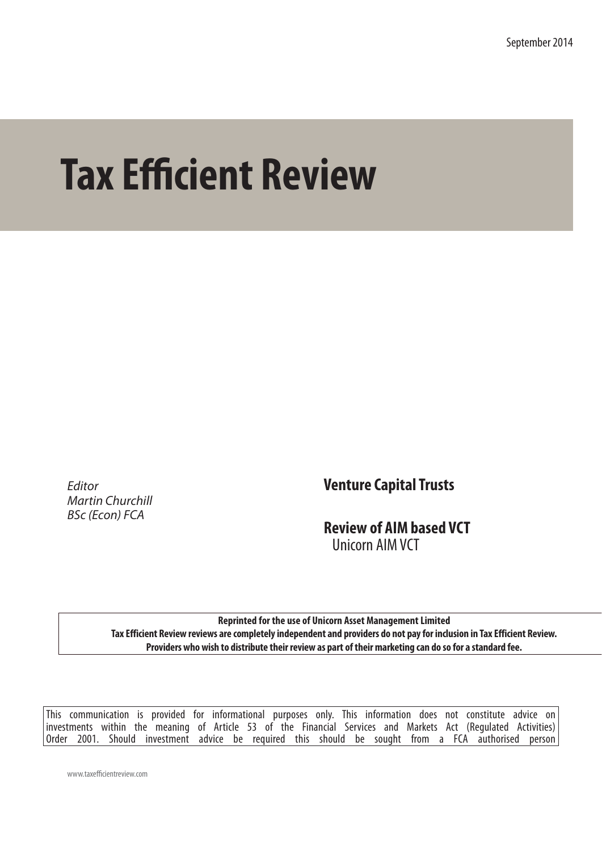September 2014

# **Tax Efficient Review**

*Editor Martin Churchill BSc (Econ) FCA*

**Venture Capital Trusts**

**Review of AIM based VCT** Unicorn AIM VCT

**Reprinted for the use of Unicorn Asset Management Limited Tax Efficient Review reviews are completely independent and providers do not pay for inclusion in Tax Efficient Review. Providers who wish to distribute their review as part of their marketing can do so for a standard fee.** 

This communication is provided for informational purposes only. This information does not constitute advice on investments within the meaning of Article 53 of the Financial Services and Markets Act (Regulated Activities) Order 2001. Should investment advice be required this should be sought from a FCA authorised person

www.taxefficientreview.com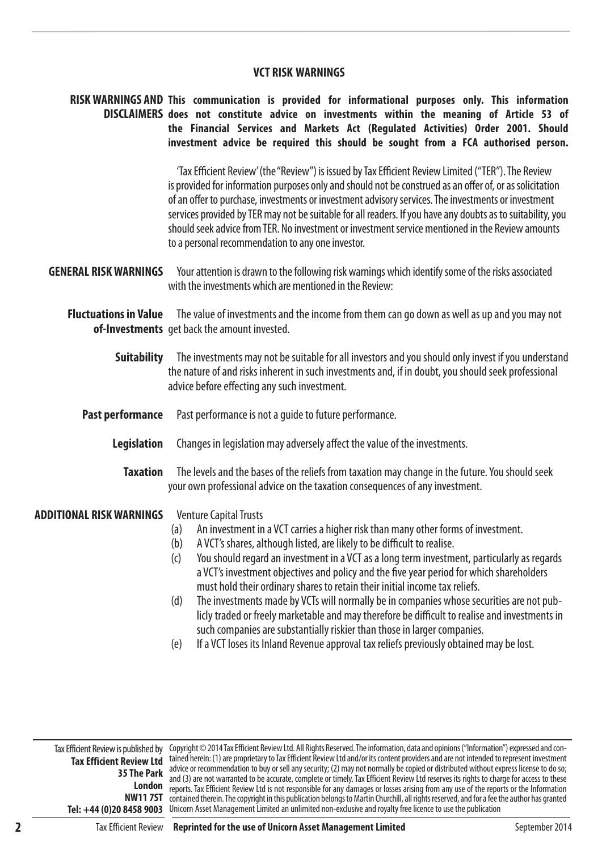# **VCT RISK WARNINGS**

# **RISK WARNINGS AND This communication is provided for informational purposes only. This information DISCLAIMERS does not constitute advice on investments within the meaning of Article 53 of the Financial Services and Markets Act (Regulated Activities) Order 2001. Should investment advice be required this should be sought from a FCA authorised person.**

'Tax Efficient Review' (the "Review") is issued by Tax Efficient Review Limited ("TER"). The Review is provided for information purposes only and should not be construed as an offer of, or as solicitation of an offer to purchase, investments or investment advisory services. The investments or investment services provided by TER may not be suitable for all readers. If you have any doubts as to suitability, you should seek advice from TER. No investment or investment service mentioned in the Review amounts to a personal recommendation to any one investor.

- **GENERAL RISK WARNINGS** Your attention is drawn to the following risk warnings which identify some of the risks associated with the investments which are mentioned in the Review:
	- **Fluctuations in Value** The value of investments and the income from them can go down as well as up and you may not **of-Investments** get back the amount invested.
		- **Suitability** The investments may not be suitable for all investors and you should only invest if you understand the nature of and risks inherent in such investments and, if in doubt, you should seek professional advice before effecting any such investment.
		- **Past performance** Past performance is not a guide to future performance.
			- **Legislation** Changes in legislation may adversely affect the value of the investments.
				- **Taxation** The levels and the bases of the reliefs from taxation may change in the future. You should seek your own professional advice on the taxation consequences of any investment.

#### **ADDITIONAL RISK WARNINGS**  Venture Capital Trusts

- (a) An investment in a VCT carries a higher risk than many other forms of investment.
- (b) A VCT's shares, although listed, are likely to be difficult to realise.
- (c) You should regard an investment in a VCT as a long term investment, particularly as regards a VCT's investment objectives and policy and the five year period for which shareholders must hold their ordinary shares to retain their initial income tax reliefs.
- (d) The investments made by VCTs will normally be in companies whose securities are not publicly traded or freely marketable and may therefore be difficult to realise and investments in such companies are substantially riskier than those in larger companies.
- (e) If a VCT loses its Inland Revenue approval tax reliefs previously obtained may be lost.

**35 The Park**

Tax Efficient Review is published by Copyright © 2014 Tax Efficient Review Ltd. All Rights Reserved. The information, data and opinions ("Information") expressed and con-**Tax Efficient Review Ltd** tained herein: (1) are proprietary to Tax Efficient Review Ltd and/or its content providers and are not intended to represent investment London *reports.* Tax Efficient Review Ltd is not responsible for any damages or losses arising from any use of the reports or the Information **NW11 7ST**  contained therein. The copyright in this publication belongs to Martin Churchill, all rights reserved, and for a fee the author has granted **Tel: +44 (0)20 8458 9003** Unicorn Asset Management Limited an unlimited non-exclusive and royalty free licence to use the publicationadvice or recommendation to buy or sell any security; (2) may not normally be copied or distributed without express license to do so; and (3) are not warranted to be accurate, complete or timely. Tax Efficient Review Ltd reserves its rights to charge for access to these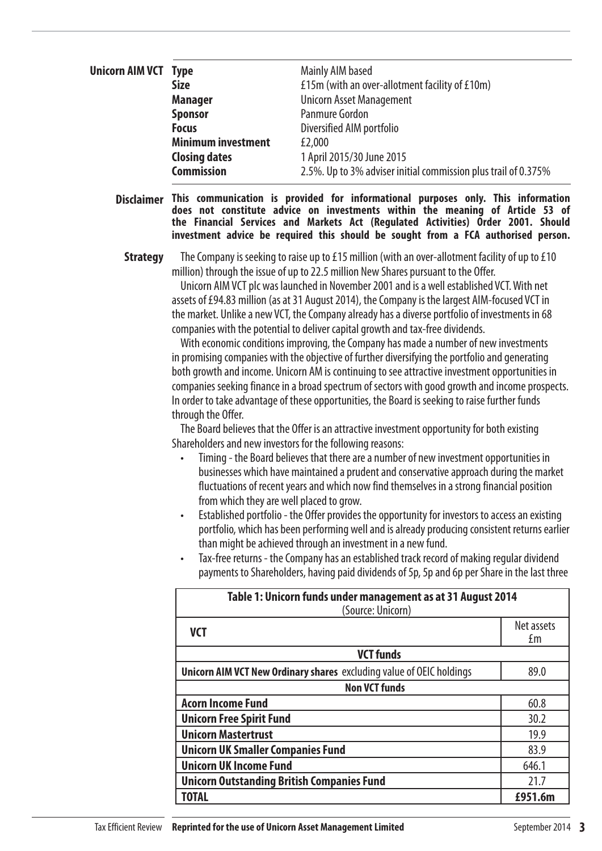| <b>Unicorn AIM VCT</b> Type |                           | Mainly AIM based                                               |
|-----------------------------|---------------------------|----------------------------------------------------------------|
|                             | <b>Size</b>               | £15m (with an over-allotment facility of £10m)                 |
|                             | <b>Manager</b>            | <b>Unicorn Asset Management</b>                                |
|                             | <b>Sponsor</b>            | Panmure Gordon                                                 |
|                             | <b>Focus</b>              | Diversified AIM portfolio                                      |
|                             | <b>Minimum investment</b> | £2,000                                                         |
|                             | <b>Closing dates</b>      | 1 April 2015/30 June 2015                                      |
|                             | <b>Commission</b>         | 2.5%. Up to 3% adviser initial commission plus trail of 0.375% |

**Disclaimer This communication is provided for informational purposes only. This information does not constitute advice on investments within the meaning of Article 53 of the Financial Services and Markets Act (Regulated Activities) Order 2001. Should investment advice be required this should be sought from a FCA authorised person.**

**Strategy** The Company is seeking to raise up to £15 million (with an over-allotment facility of up to £10 million) through the issue of up to 22.5 million New Shares pursuant to the Offer.

> Unicorn AIM VCT plc was launched in November 2001 and is a well established VCT. With net assets of £94.83 million (as at 31 August 2014), the Company is the largest AIM-focused VCT in the market. Unlike a new VCT, the Company already has a diverse portfolio of investments in 68 companies with the potential to deliver capital growth and tax-free dividends.

With economic conditions improving, the Company has made a number of new investments in promising companies with the objective of further diversifying the portfolio and generating both growth and income. Unicorn AM is continuing to see attractive investment opportunities in companies seeking finance in a broad spectrum of sectors with good growth and income prospects. In order to take advantage of these opportunities, the Board is seeking to raise further funds through the Offer.

The Board believes that the Offer is an attractive investment opportunity for both existing Shareholders and new investors for the following reasons:

- Timing the Board believes that there are a number of new investment opportunities in businesses which have maintained a prudent and conservative approach during the market fluctuations of recent years and which now find themselves in a strong financial position from which they are well placed to grow.
- Established portfolio the Offer provides the opportunity for investors to access an existing portfolio, which has been performing well and is already producing consistent returns earlier than might be achieved through an investment in a new fund.
- Tax-free returns the Company has an established track record of making regular dividend payments to Shareholders, having paid dividends of 5p, 5p and 6p per Share in the last three

| Table 1: Unicorn funds under management as at 31 August 2014<br>(Source: Unicorn) |                  |  |  |  |
|-----------------------------------------------------------------------------------|------------------|--|--|--|
| <b>VCT</b>                                                                        | Net assets<br>£m |  |  |  |
| <b>VCT funds</b>                                                                  |                  |  |  |  |
| <b>Unicorn AIM VCT New Ordinary shares</b> excluding value of OEIC holdings       | 89.0             |  |  |  |
| <b>Non VCT funds</b>                                                              |                  |  |  |  |
| <b>Acorn Income Fund</b><br>60.8                                                  |                  |  |  |  |
| <b>Unicorn Free Spirit Fund</b>                                                   | 30.2             |  |  |  |
| <b>Unicorn Mastertrust</b>                                                        | 19.9             |  |  |  |
| <b>Unicorn UK Smaller Companies Fund</b>                                          | 83.9             |  |  |  |
| <b>Unicorn UK Income Fund</b>                                                     | 646.1            |  |  |  |
| <b>Unicorn Outstanding British Companies Fund</b>                                 | 21.7             |  |  |  |
| TOTAL                                                                             | £951.6m          |  |  |  |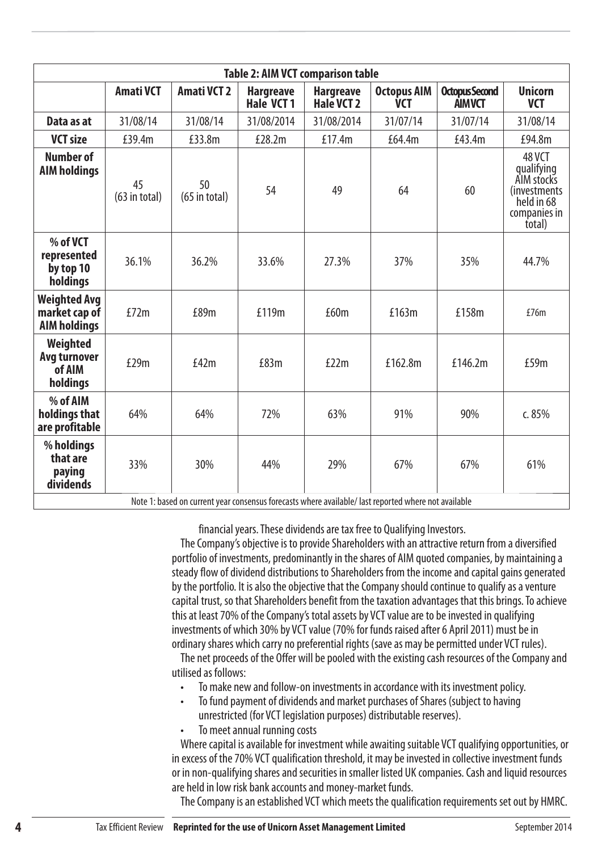| <b>Table 2: AIM VCT comparison table</b>                    |                       |                       |                                |                                           |                                                                                                             |                                        |                                                                                             |
|-------------------------------------------------------------|-----------------------|-----------------------|--------------------------------|-------------------------------------------|-------------------------------------------------------------------------------------------------------------|----------------------------------------|---------------------------------------------------------------------------------------------|
|                                                             | <b>Amati VCT</b>      | <b>Amati VCT 2</b>    | <b>Hargreave</b><br>Hale VCT 1 | <b>Hargreave</b><br>Hale VCT <sub>2</sub> | <b>Octopus AIM</b><br><b>VCT</b>                                                                            | <b>Octopus Second</b><br><b>AIMVCT</b> | <b>Unicorn</b><br><b>VCT</b>                                                                |
| Data as at                                                  | 31/08/14              | 31/08/14              | 31/08/2014                     | 31/08/2014                                | 31/07/14                                                                                                    | 31/07/14                               | 31/08/14                                                                                    |
| <b>VCT size</b>                                             | £39.4m                | £33.8m                | £28.2m                         | £17.4m                                    | £64.4m                                                                                                      | £43.4m                                 | £94.8m                                                                                      |
| <b>Number of</b><br><b>AIM holdings</b>                     | 45<br>$(63$ in total) | 50<br>$(65$ in total) | 54                             | 49                                        | 64                                                                                                          | 60                                     | 48 VCT<br>qualifying<br>AIM stocks<br>(investments)<br>held in 68<br>companies in<br>total) |
| % of VCT<br>represented<br>by top 10<br>holdings            | 36.1%                 | 36.2%                 | 33.6%                          | 27.3%                                     | 37%                                                                                                         | 35%                                    | 44.7%                                                                                       |
| <b>Weighted Avg</b><br>market cap of<br><b>AIM holdings</b> | £72m                  | £89m                  | £119m                          | £60m                                      | £163m                                                                                                       | £158m                                  | £76m                                                                                        |
| Weighted<br>Avg turnover<br>of AIM<br>holdings              | £29m                  | £42m                  | £83m                           | £22m                                      | £162.8m                                                                                                     | £146.2m                                | £59m                                                                                        |
| % of AIM<br>holdings that<br>are profitable                 | 64%                   | 64%                   | 72%                            | 63%                                       | 91%                                                                                                         | 90%                                    | c. 85%                                                                                      |
| % holdings<br>that are<br>paying<br>dividends               | 33%                   | 30%                   | 44%                            | 29%                                       | 67%<br>lete 1: hason on surrent vary consensus foresasts where available Last reported where not available. | 67%                                    | 61%                                                                                         |

Note 1: based on current year consensus forecasts where available/ last reported where not available

financial years. These dividends are tax free to Qualifying Investors.

The Company's objective is to provide Shareholders with an attractive return from a diversified portfolio of investments, predominantly in the shares of AIM quoted companies, by maintaining a steady flow of dividend distributions to Shareholders from the income and capital gains generated by the portfolio. It is also the objective that the Company should continue to qualify as a venture capital trust, so that Shareholders benefit from the taxation advantages that this brings. To achieve this at least 70% of the Company's total assets by VCT value are to be invested in qualifying investments of which 30% by VCT value (70% for funds raised after 6 April 2011) must be in ordinary shares which carry no preferential rights (save as may be permitted under VCT rules).

The net proceeds of the Offer will be pooled with the existing cash resources of the Company and utilised as follows:

- To make new and follow-on investments in accordance with its investment policy.
- To fund payment of dividends and market purchases of Shares (subject to having unrestricted (for VCT legislation purposes) distributable reserves).
- To meet annual running costs

Where capital is available for investment while awaiting suitable VCT qualifying opportunities, or in excess of the 70% VCT qualification threshold, it may be invested in collective investment funds or in non-qualifying shares and securities in smaller listed UK companies. Cash and liquid resources are held in low risk bank accounts and money-market funds.

The Company is an established VCT which meets the qualification requirements set out by HMRC.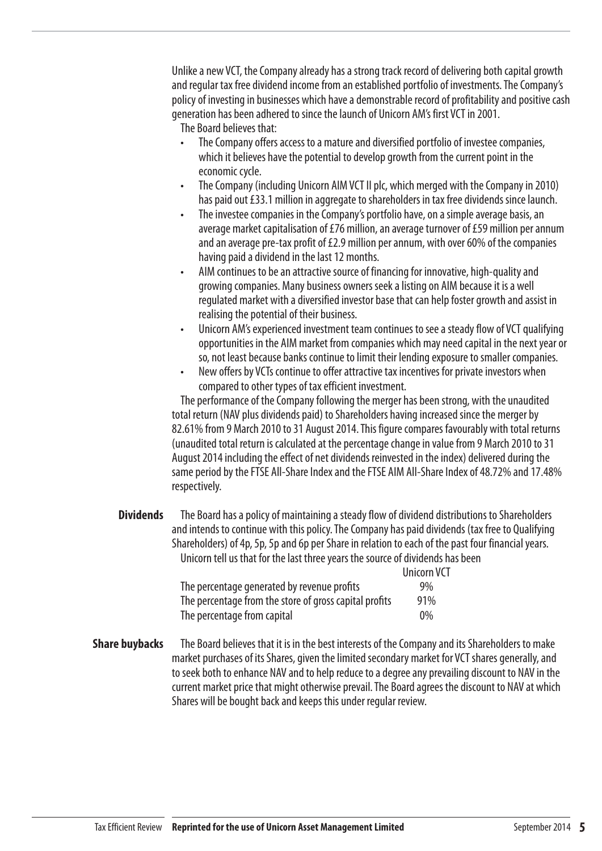Unlike a new VCT, the Company already has a strong track record of delivering both capital growth and regular tax free dividend income from an established portfolio of investments. The Company's policy of investing in businesses which have a demonstrable record of profitability and positive cash generation has been adhered to since the launch of Unicorn AM's first VCT in 2001.

The Board believes that:

- The Company offers access to a mature and diversified portfolio of investee companies, which it believes have the potential to develop growth from the current point in the economic cycle.
- The Company (including Unicorn AIM VCT II plc, which merged with the Company in 2010) has paid out £33.1 million in aggregate to shareholders in tax free dividends since launch.
- The investee companies in the Company's portfolio have, on a simple average basis, an average market capitalisation of £76 million, an average turnover of £59 million per annum and an average pre-tax profit of £2.9 million per annum, with over 60% of the companies having paid a dividend in the last 12 months.
- AIM continues to be an attractive source of financing for innovative, high-quality and growing companies. Many business owners seek a listing on AIM because it is a well regulated market with a diversified investor base that can help foster growth and assist in realising the potential of their business.
- Unicorn AM's experienced investment team continues to see a steady flow of VCT qualifying opportunities in the AIM market from companies which may need capital in the next year or so, not least because banks continue to limit their lending exposure to smaller companies.
- New offers by VCTs continue to offer attractive tax incentives for private investors when compared to other types of tax efficient investment.

The performance of the Company following the merger has been strong, with the unaudited total return (NAV plus dividends paid) to Shareholders having increased since the merger by 82.61% from 9 March 2010 to 31 August 2014. This figure compares favourably with total returns (unaudited total return is calculated at the percentage change in value from 9 March 2010 to 31 August 2014 including the effect of net dividends reinvested in the index) delivered during the same period by the FTSE All-Share Index and the FTSE AIM All-Share Index of 48.72% and 17.48% respectively.

**Dividends** The Board has a policy of maintaining a steady flow of dividend distributions to Shareholders and intends to continue with this policy. The Company has paid dividends (tax free to Qualifying Shareholders) of 4p, 5p, 5p and 6p per Share in relation to each of the past four financial years. Unicorn tell us that for the last three years the source of dividends has been Unicorn VCT

|                                                        | <b>UILLUILLY</b> |
|--------------------------------------------------------|------------------|
| The percentage generated by revenue profits            | $9\%$            |
| The percentage from the store of gross capital profits | 91%              |
| The percentage from capital                            | $0\%$            |

**Share buybacks** The Board believes that it is in the best interests of the Company and its Shareholders to make market purchases of its Shares, given the limited secondary market for VCT shares generally, and to seek both to enhance NAV and to help reduce to a degree any prevailing discount to NAV in the current market price that might otherwise prevail. The Board agrees the discount to NAV at which Shares will be bought back and keeps this under regular review.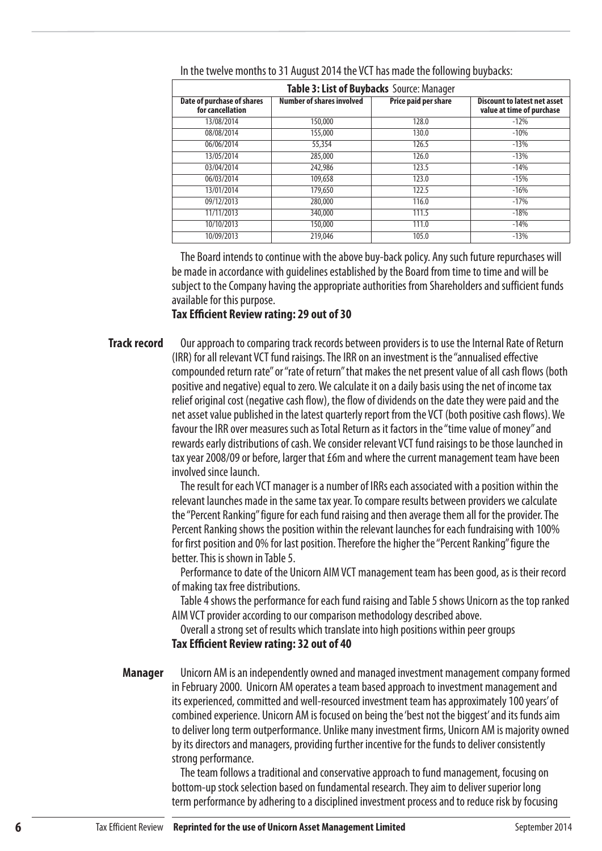| Table 3: List of Buybacks Source: Manager             |                                  |                      |                                                                  |  |  |  |
|-------------------------------------------------------|----------------------------------|----------------------|------------------------------------------------------------------|--|--|--|
| <b>Date of purchase of shares</b><br>for cancellation | <b>Number of shares involved</b> | Price paid per share | <b>Discount to latest net asset</b><br>value at time of purchase |  |  |  |
| 13/08/2014                                            | 150,000                          | 128.0                | $-12%$                                                           |  |  |  |
| 08/08/2014                                            | 155,000                          | 130.0                | $-10%$                                                           |  |  |  |
| 06/06/2014                                            | 55,354                           | 126.5                | $-13%$                                                           |  |  |  |
| 13/05/2014                                            | 285,000                          | 126.0                | $-13%$                                                           |  |  |  |
| 03/04/2014                                            | 242,986                          | 123.5                | $-14%$                                                           |  |  |  |
| 06/03/2014                                            | 109,658                          | 123.0                | $-15%$                                                           |  |  |  |
| 13/01/2014                                            | 179,650                          | 122.5                | $-16%$                                                           |  |  |  |
| 09/12/2013                                            | 280,000                          | 116.0                | $-17%$                                                           |  |  |  |
| 11/11/2013                                            | 340,000                          | 111.5                | $-18%$                                                           |  |  |  |
| 10/10/2013                                            | 150,000                          | 111.0                | $-14%$                                                           |  |  |  |
| 10/09/2013                                            | 219,046                          | 105.0                | $-13%$                                                           |  |  |  |

### In the twelve months to 31 August 2014 the VCT has made the following buybacks:

The Board intends to continue with the above buy-back policy. Any such future repurchases will be made in accordance with guidelines established by the Board from time to time and will be subject to the Company having the appropriate authorities from Shareholders and sufficient funds available for this purpose.

# **Tax Efficient Review rating: 29 out of 30**

Our approach to comparing track records between providers is to use the Internal Rate of Return (IRR) for all relevant VCT fund raisings. The IRR on an investment is the "annualised effective compounded return rate" or "rate of return" that makes the net present value of all cash flows (both positive and negative) equal to zero. We calculate it on a daily basis using the net of income tax relief original cost (negative cash flow), the flow of dividends on the date they were paid and the net asset value published in the latest quarterly report from the VCT (both positive cash flows). We favour the IRR over measures such as Total Return as it factors in the "time value of money" and rewards early distributions of cash. We consider relevant VCT fund raisings to be those launched in tax year 2008/09 or before, larger that £6m and where the current management team have been involved since launch. **Track record**

> The result for each VCT manager is a number of IRRs each associated with a position within the relevant launches made in the same tax year. To compare results between providers we calculate the "Percent Ranking" figure for each fund raising and then average them all for the provider. The Percent Ranking shows the position within the relevant launches for each fundraising with 100% for first position and 0% for last position. Therefore the higher the "Percent Ranking" figure the better. This is shown in Table 5.

Performance to date of the Unicorn AIM VCT management team has been good, as is their record of making tax free distributions.

Table 4 shows the performance for each fund raising and Table 5 shows Unicorn as the top ranked AIM VCT provider according to our comparison methodology described above.

Overall a strong set of results which translate into high positions within peer groups **Tax Efficient Review rating: 32 out of 40** 

**Manager**

Unicorn AM is an independently owned and managed investment management company formed in February 2000. Unicorn AM operates a team based approach to investment management and its experienced, committed and well-resourced investment team has approximately 100 years' of combined experience. Unicorn AM is focused on being the 'best not the biggest' and its funds aim to deliver long term outperformance. Unlike many investment firms, Unicorn AM is majority owned by its directors and managers, providing further incentive for the funds to deliver consistently strong performance.

The team follows a traditional and conservative approach to fund management, focusing on bottom-up stock selection based on fundamental research. They aim to deliver superior long term performance by adhering to a disciplined investment process and to reduce risk by focusing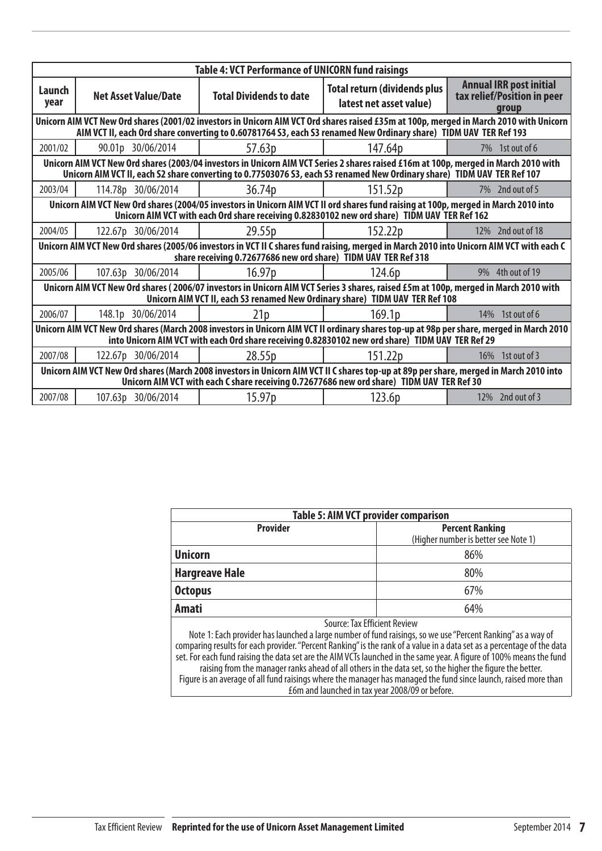| <b>Table 4: VCT Performance of UNICORN fund raisings</b>                                                                                                                                                                                                   |                                                                                                                                                                                                                                                                |                                |                                                                |                                                                        |  |  |  |  |
|------------------------------------------------------------------------------------------------------------------------------------------------------------------------------------------------------------------------------------------------------------|----------------------------------------------------------------------------------------------------------------------------------------------------------------------------------------------------------------------------------------------------------------|--------------------------------|----------------------------------------------------------------|------------------------------------------------------------------------|--|--|--|--|
| Launch<br>year                                                                                                                                                                                                                                             | <b>Net Asset Value/Date</b>                                                                                                                                                                                                                                    | <b>Total Dividends to date</b> | <b>Total return (dividends plus</b><br>latest net asset value) | <b>Annual IRR post initial</b><br>tax relief/Position in peer<br>group |  |  |  |  |
| Unicorn AIM VCT New Ord shares (2001/02 investors in Unicorn AIM VCT Ord shares raised £35m at 100p, merged in March 2010 with Unicorn<br>AIM VCT II, each Ord share converting to 0.60781764 S3, each S3 renamed New Ordinary share) TIDM UAV TER Ref 193 |                                                                                                                                                                                                                                                                |                                |                                                                |                                                                        |  |  |  |  |
| 2001/02                                                                                                                                                                                                                                                    | 90.01p 30/06/2014                                                                                                                                                                                                                                              | 57.63p                         | 147.64p                                                        | 7% 1st out of 6                                                        |  |  |  |  |
|                                                                                                                                                                                                                                                            | Unicorn AIM VCT New Ord shares (2003/04 investors in Unicorn AIM VCT Series 2 shares raised £16m at 100p, merged in March 2010 with<br>Unicorn AIM VCT II, each S2 share converting to 0.77503076 S3, each S3 renamed New Ordinary share) TIDM UAV TER Ref 107 |                                |                                                                |                                                                        |  |  |  |  |
| 2003/04                                                                                                                                                                                                                                                    | 114.78p 30/06/2014                                                                                                                                                                                                                                             | 36.74p                         | 151.52p                                                        | 7\% 2nd out of 5                                                       |  |  |  |  |
|                                                                                                                                                                                                                                                            | Unicorn AIM VCT New Ord shares (2004/05 investors in Unicorn AIM VCT II ord shares fund raising at 100p, merged in March 2010 into<br>Unicorn AIM VCT with each Ord share receiving 0.82830102 new ord share) TIDM UAV TER Ref 162                             |                                |                                                                |                                                                        |  |  |  |  |
| 2004/05                                                                                                                                                                                                                                                    | 122.67p 30/06/2014                                                                                                                                                                                                                                             | 29.55p                         | 152.22 <sub>p</sub>                                            | 12\% 2nd out of 18                                                     |  |  |  |  |
|                                                                                                                                                                                                                                                            | Unicorn AIM VCT New Ord shares (2005/06 investors in VCT II C shares fund raising, merged in March 2010 into Unicorn AIM VCT with each C<br>share receiving 0.72677686 new ord share) TIDM UAV TER Ref 318                                                     |                                |                                                                |                                                                        |  |  |  |  |
| 2005/06                                                                                                                                                                                                                                                    | 107.63p 30/06/2014                                                                                                                                                                                                                                             | 16.97p                         | 124.6p                                                         | 9% 4th out of 19                                                       |  |  |  |  |
| Unicorn AIM VCT New Ord shares (2006/07 investors in Unicorn AIM VCT Series 3 shares, raised £5m at 100p, merged in March 2010 with<br>Unicorn AIM VCT II, each S3 renamed New Ordinary share) TIDM UAV TER Ref 108                                        |                                                                                                                                                                                                                                                                |                                |                                                                |                                                                        |  |  |  |  |
| 2006/07                                                                                                                                                                                                                                                    | 148.1p 30/06/2014                                                                                                                                                                                                                                              | 21 <sub>p</sub>                | 169.1 <sub>p</sub>                                             | 14% 1st out of 6                                                       |  |  |  |  |
| Unicorn AIM VCT New Ord shares (March 2008 investors in Unicorn AIM VCT II ordinary shares top-up at 98p per share, merged in March 2010<br>into Unicorn AIM VCT with each Ord share receiving 0.82830102 new ord share) TIDM UAV TER Ref 29               |                                                                                                                                                                                                                                                                |                                |                                                                |                                                                        |  |  |  |  |
| 2007/08                                                                                                                                                                                                                                                    | 122.67p 30/06/2014                                                                                                                                                                                                                                             | 28.55p                         | 151.22p                                                        | 16\% 1st out of 3                                                      |  |  |  |  |
| Unicorn AIM VCT New Ord shares (March 2008 investors in Unicorn AIM VCT II C shares top-up at 89p per share, merged in March 2010 into<br>Unicorn AIM VCT with each C share receiving 0.72677686 new ord share) TIDM UAV TER Ref 30                        |                                                                                                                                                                                                                                                                |                                |                                                                |                                                                        |  |  |  |  |
| 2007/08                                                                                                                                                                                                                                                    | 107.63p 30/06/2014                                                                                                                                                                                                                                             | 15.97p                         | 123.6p                                                         | 12% 2nd out of 3                                                       |  |  |  |  |

| <b>Table 5: AIM VCT provider comparison</b>                                                                                                                                                                                                                                                                                                                                                                                                                                                                                                                                                                                                                                     |                                                                |  |  |  |  |
|---------------------------------------------------------------------------------------------------------------------------------------------------------------------------------------------------------------------------------------------------------------------------------------------------------------------------------------------------------------------------------------------------------------------------------------------------------------------------------------------------------------------------------------------------------------------------------------------------------------------------------------------------------------------------------|----------------------------------------------------------------|--|--|--|--|
| <b>Provider</b>                                                                                                                                                                                                                                                                                                                                                                                                                                                                                                                                                                                                                                                                 | <b>Percent Ranking</b><br>(Higher number is better see Note 1) |  |  |  |  |
| <b>Unicorn</b>                                                                                                                                                                                                                                                                                                                                                                                                                                                                                                                                                                                                                                                                  | 86%                                                            |  |  |  |  |
| <b>Hargreave Hale</b><br>80%                                                                                                                                                                                                                                                                                                                                                                                                                                                                                                                                                                                                                                                    |                                                                |  |  |  |  |
| <b>Octopus</b><br>67%                                                                                                                                                                                                                                                                                                                                                                                                                                                                                                                                                                                                                                                           |                                                                |  |  |  |  |
| <b>Amati</b>                                                                                                                                                                                                                                                                                                                                                                                                                                                                                                                                                                                                                                                                    | 64%                                                            |  |  |  |  |
| Source: Tax Efficient Review<br>Note 1: Each provider has launched a large number of fund raisings, so we use "Percent Ranking" as a way of<br>comparing results for each provider. "Percent Ranking" is the rank of a value in a data set as a percentage of the data<br>set. For each fund raising the data set are the AIM VCTs launched in the same year. A figure of 100% means the fund<br>raising from the manager ranks ahead of all others in the data set, so the higher the figure the better.<br>Figure is an average of all fund raisings where the manager has managed the fund since launch, raised more than<br>£6m and launched in tax year 2008/09 or before. |                                                                |  |  |  |  |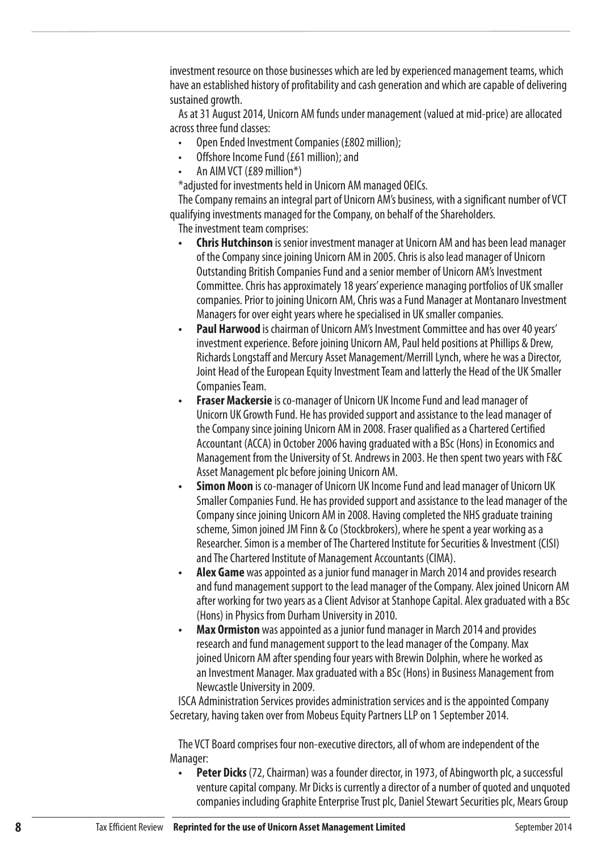investment resource on those businesses which are led by experienced management teams, which have an established history of profitability and cash generation and which are capable of delivering sustained growth.

As at 31 August 2014, Unicorn AM funds under management (valued at mid-price) are allocated across three fund classes:

- Open Ended Investment Companies (£802 million);
- Offshore Income Fund (£61 million); and
- An AIM VCT (£89 million\*)

\*adjusted for investments held in Unicorn AM managed OEICs.

The Company remains an integral part of Unicorn AM's business, with a significant number of VCT qualifying investments managed for the Company, on behalf of the Shareholders.

The investment team comprises:

- **Chris Hutchinson** is senior investment manager at Unicorn AM and has been lead manager of the Company since joining Unicorn AM in 2005. Chris is also lead manager of Unicorn Outstanding British Companies Fund and a senior member of Unicorn AM's Investment Committee. Chris has approximately 18 years' experience managing portfolios of UK smaller companies. Prior to joining Unicorn AM, Chris was a Fund Manager at Montanaro Investment Managers for over eight years where he specialised in UK smaller companies.
- **Paul Harwood** is chairman of Unicorn AM's Investment Committee and has over 40 years' investment experience. Before joining Unicorn AM, Paul held positions at Phillips & Drew, Richards Longstaff and Mercury Asset Management/Merrill Lynch, where he was a Director, Joint Head of the European Equity Investment Team and latterly the Head of the UK Smaller Companies Team.
- **Fraser Mackersie** is co-manager of Unicorn UK Income Fund and lead manager of Unicorn UK Growth Fund. He has provided support and assistance to the lead manager of the Company since joining Unicorn AM in 2008. Fraser qualified as a Chartered Certified Accountant (ACCA) in October 2006 having graduated with a BSc (Hons) in Economics and Management from the University of St. Andrews in 2003. He then spent two years with F&C Asset Management plc before joining Unicorn AM.
- **Simon Moon** is co-manager of Unicorn UK Income Fund and lead manager of Unicorn UK Smaller Companies Fund. He has provided support and assistance to the lead manager of the Company since joining Unicorn AM in 2008. Having completed the NHS graduate training scheme, Simon joined JM Finn & Co (Stockbrokers), where he spent a year working as a Researcher. Simon is a member of The Chartered Institute for Securities & Investment (CISI) and The Chartered Institute of Management Accountants (CIMA).
- **Alex Game** was appointed as a junior fund manager in March 2014 and provides research and fund management support to the lead manager of the Company. Alex joined Unicorn AM after working for two years as a Client Advisor at Stanhope Capital. Alex graduated with a BSc (Hons) in Physics from Durham University in 2010.
- **Max Ormiston** was appointed as a junior fund manager in March 2014 and provides research and fund management support to the lead manager of the Company. Max joined Unicorn AM after spending four years with Brewin Dolphin, where he worked as an Investment Manager. Max graduated with a BSc (Hons) in Business Management from Newcastle University in 2009.

ISCA Administration Services provides administration services and is the appointed Company Secretary, having taken over from Mobeus Equity Partners LLP on 1 September 2014.

The VCT Board comprises four non-executive directors, all of whom are independent of the Manager:

**• Peter Dicks** (72, Chairman) was a founder director, in 1973, of Abingworth plc, a successful venture capital company. Mr Dicks is currently a director of a number of quoted and unquoted companies including Graphite Enterprise Trust plc, Daniel Stewart Securities plc, Mears Group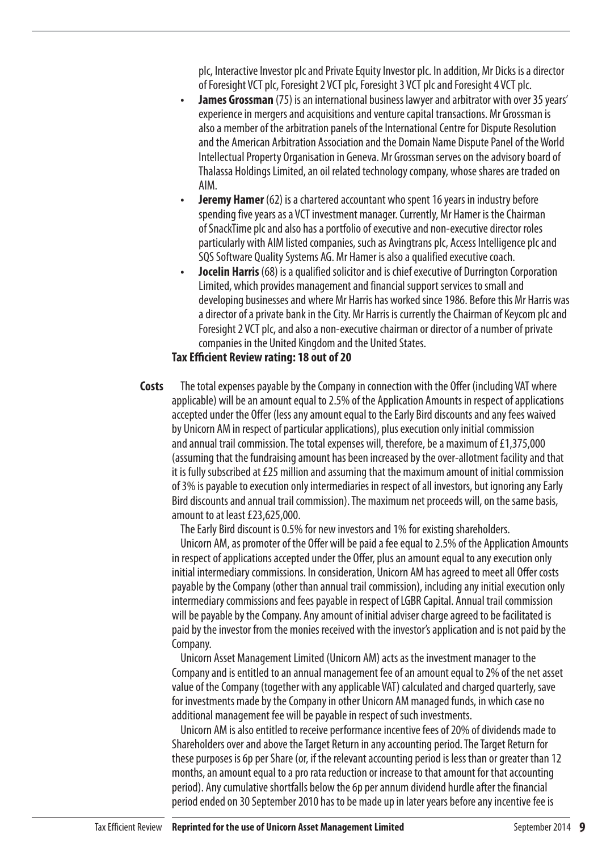plc, Interactive Investor plc and Private Equity Investor plc. In addition, Mr Dicks is a director of Foresight VCT plc, Foresight 2 VCT plc, Foresight 3 VCT plc and Foresight 4 VCT plc.

- **James Grossman** (75) is an international business lawyer and arbitrator with over 35 years' experience in mergers and acquisitions and venture capital transactions. Mr Grossman is also a member of the arbitration panels of the International Centre for Dispute Resolution and the American Arbitration Association and the Domain Name Dispute Panel of the World Intellectual Property Organisation in Geneva. Mr Grossman serves on the advisory board of Thalassa Holdings Limited, an oil related technology company, whose shares are traded on AIM.
- **Jeremy Hamer** (62) is a chartered accountant who spent 16 years in industry before spending five years as a VCT investment manager. Currently, Mr Hamer is the Chairman of SnackTime plc and also has a portfolio of executive and non-executive director roles particularly with AIM listed companies, such as Avingtrans plc, Access Intelligence plc and SQS Software Quality Systems AG. Mr Hamer is also a qualified executive coach.
- **Jocelin Harris** (68) is a qualified solicitor and is chief executive of Durrington Corporation Limited, which provides management and financial support services to small and developing businesses and where Mr Harris has worked since 1986. Before this Mr Harris was a director of a private bank in the City. Mr Harris is currently the Chairman of Keycom plc and Foresight 2 VCT plc, and also a non-executive chairman or director of a number of private companies in the United Kingdom and the United States.

# **Tax Efficient Review rating: 18 out of 20**

The total expenses payable by the Company in connection with the Offer (including VAT where applicable) will be an amount equal to 2.5% of the Application Amounts in respect of applications accepted under the Offer (less any amount equal to the Early Bird discounts and any fees waived by Unicorn AM in respect of particular applications), plus execution only initial commission and annual trail commission. The total expenses will, therefore, be a maximum of £1,375,000 (assuming that the fundraising amount has been increased by the over-allotment facility and that it is fully subscribed at £25 million and assuming that the maximum amount of initial commission of 3% is payable to execution only intermediaries in respect of all investors, but ignoring any Early Bird discounts and annual trail commission). The maximum net proceeds will, on the same basis, amount to at least £23,625,000. **Costs**

The Early Bird discount is 0.5% for new investors and 1% for existing shareholders.

Unicorn AM, as promoter of the Offer will be paid a fee equal to 2.5% of the Application Amounts in respect of applications accepted under the Offer, plus an amount equal to any execution only initial intermediary commissions. In consideration, Unicorn AM has agreed to meet all Offer costs payable by the Company (other than annual trail commission), including any initial execution only intermediary commissions and fees payable in respect of LGBR Capital. Annual trail commission will be payable by the Company. Any amount of initial adviser charge agreed to be facilitated is paid by the investor from the monies received with the investor's application and is not paid by the Company.

Unicorn Asset Management Limited (Unicorn AM) acts as the investment manager to the Company and is entitled to an annual management fee of an amount equal to 2% of the net asset value of the Company (together with any applicable VAT) calculated and charged quarterly, save for investments made by the Company in other Unicorn AM managed funds, in which case no additional management fee will be payable in respect of such investments.

Unicorn AM is also entitled to receive performance incentive fees of 20% of dividends made to Shareholders over and above the Target Return in any accounting period. The Target Return for these purposes is 6p per Share (or, if the relevant accounting period is less than or greater than 12 months, an amount equal to a pro rata reduction or increase to that amount for that accounting period). Any cumulative shortfalls below the 6p per annum dividend hurdle after the financial period ended on 30 September 2010 has to be made up in later years before any incentive fee is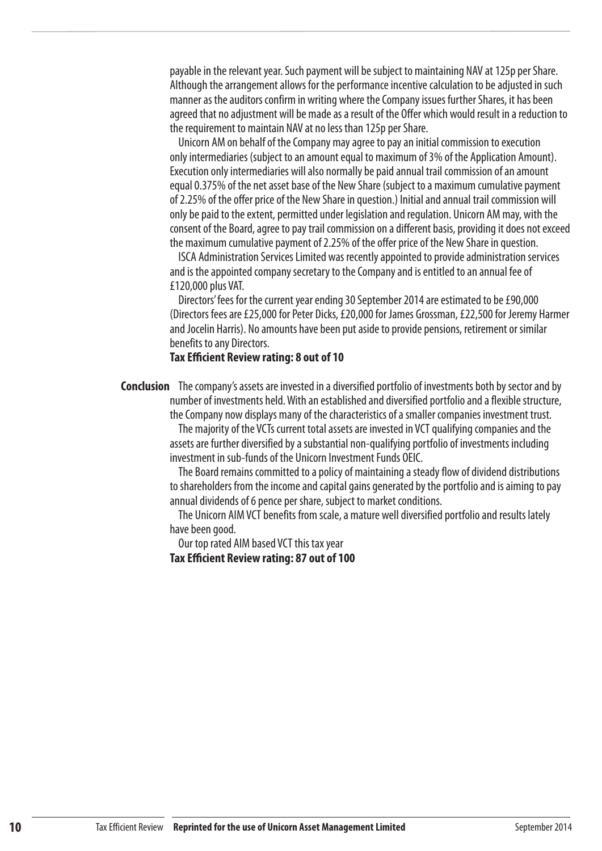payable in the relevant year. Such payment will be subject to maintaining NAV at 125p per Share. Although the arrangement allows for the performance incentive calculation to be adjusted in such manner as the auditors confirm in writing where the Company issues further Shares, it has been agreed that no adjustment will be made as a result of the Offer which would result in a reduction to the requirement to maintain NAV at no less than 125p per Share.

Unicorn AM on behalf of the Company may agree to pay an initial commission to execution only intermediaries (subject to an amount equal to maximum of 3% of the Application Amount). Execution only intermediaries will also normally be paid annual trail commission of an amount equal 0.375% of the net asset base of the New Share (subject to a maximum cumulative payment of 2.25% of the offer price of the New Share in question.) Initial and annual trail commission will only be paid to the extent, permitted under legislation and regulation. Unicorn AM may, with the consent of the Board, agree to pay trail commission on a different basis, providing it does not exceed the maximum cumulative payment of 2.25% of the offer price of the New Share in question.

ISCA Administration Services Limited was recently appointed to provide administration services and is the appointed company secretary to the Company and is entitled to an annual fee of £120,000 plus VAT.

Directors' fees for the current year ending 30 September 2014 are estimated to be £90,000 (Directors fees are £25,000 for Peter Dicks, £20,000 for James Grossman, £22,500 for Jeremy Harmer and Jocelin Harris). No amounts have been put aside to provide pensions, retirement or similar benefits to any Directors.

## **Tax Efficient Review rating: 8 out of 10**

**Conclusion** The company's assets are invested in a diversified portfolio of investments both by sector and by number of investments held. With an established and diversified portfolio and a flexible structure, the Company now displays many of the characteristics of a smaller companies investment trust.

> The majority of the VCTs current total assets are invested in VCT qualifying companies and the assets are further diversified by a substantial non-qualifying portfolio of investments including investment in sub-funds of the Unicorn Investment Funds OEIC.

The Board remains committed to a policy of maintaining a steady flow of dividend distributions to shareholders from the income and capital gains generated by the portfolio and is aiming to pay annual dividends of 6 pence per share, subject to market conditions.

The Unicorn AIM VCT benefits from scale, a mature well diversified portfolio and results lately have been good.

Our top rated AIM based VCT this tax year

**Tax Efficient Review rating: 87 out of 100**